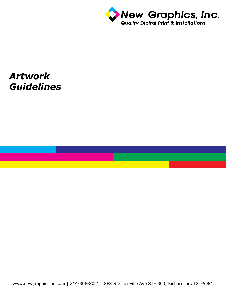

## *Artwork Guidelines*

www.newgraphicsinc.com | 214-306-8021 | 888 S Greenville Ave STE 300, Richardson, TX 75081